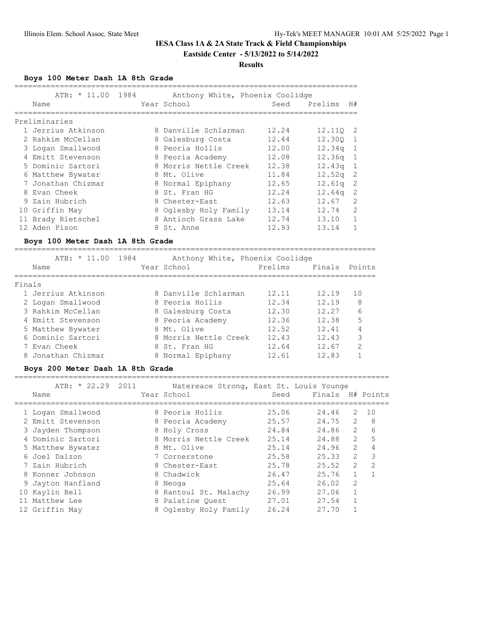## **IESA Class 1A & 2A State Track & Field Championships Eastside Center - 5/13/2022 to 5/14/2022**

#### **Results**

**Boys 100 Meter Dash 1A 8th Grade**

|                                  | ATB: * 11.00 1984 Anthony White, Phoenix Coolidge | ========================= |                    |                |
|----------------------------------|---------------------------------------------------|---------------------------|--------------------|----------------|
| Name                             | Year School                                       | Seed                      | Prelims            | H#             |
|                                  |                                                   |                           |                    |                |
| Preliminaries                    |                                                   |                           |                    |                |
| 1 Jerrius Atkinson               | 8 Danville Schlarman                              | 12.24                     | 12.11Q             | 2              |
| 2 Rahkim McCellan                | 8 Galesburg Costa                                 | 12.44                     | 12.300             | -1             |
| 3 Logan Smallwood                | 8 Peoria Hollis                                   | 12.00                     | 12.34q             | $\mathbf{1}$   |
| 4 Emitt Stevenson                | 8 Peoria Academy                                  | 12.08                     | 12.36q             | $\mathbf{1}$   |
| 5 Dominic Sartori                | 8 Morris Nettle Creek                             | 12.38                     | 12.43q             | 1              |
| 6 Matthew Bywater                | 8 Mt. Olive                                       | 11.84                     | 12.52q             | $\mathbf{2}$   |
| 7 Jonathan Chizmar               | 8 Normal Epiphany                                 | 12.65                     | 12.61q             | 2              |
| 8 Evan Cheek                     | 8 St. Fran HG                                     | 12.24                     | 12.64 <sub>q</sub> | 2              |
| 9 Zain Hubrich                   | 8 Chester-East                                    | 12.63                     | 12.67              | 2              |
| 10 Griffin May                   | 8 Oglesby Holy Family 13.14                       |                           | 12.74              | $\overline{2}$ |
| 11 Brady Rietschel               | 8 Antioch Grass Lake                              | 12.74                     | 13.10              | $\mathbf{1}$   |
| 12 Aden Pison                    | 8 St. Anne                                        | 12.93                     | 13.14              | 1              |
| Boys 100 Meter Dash 1A 8th Grade | ====================================              |                           |                    |                |
|                                  | ATB: * 11.00 1984 Anthony White, Phoenix Coolidge |                           |                    |                |
| Name                             | Year School                                       | Prelims                   | Finals Points      |                |
| Finals                           |                                                   |                           |                    |                |
| 1 Jerrius Atkinson               | 8 Danville Schlarman                              | 12.11                     | 12.19              | 10             |
| 2 Logan Smallwood                | 8 Peoria Hollis                                   | 12.34                     | 12.19              | 8              |
| 3 Rahkim McCellan                | 8 Galesburg Costa                                 | 12.30                     | 12.27              | 6              |
| 4 Emitt Stevenson                | 8 Peoria Academy                                  | 12.36                     | 12.38              | 5              |
| 5 Matthew Bywater                | 8 Mt. Olive                                       | 12.52                     | 12.41              | 4              |
| 6 Dominic Sartori                | 8 Morris Nettle Creek                             | 12.43                     | 12.43              | 3              |
| 7 Evan Cheek                     | 8 St. Fran HG                                     | 12.64                     | 12.67              | $\overline{2}$ |
| 8 Jonathan Chizmar               | 8 Normal Epiphany                                 | 12.61                     | 12.83              | $\mathbf{1}$   |

## **Boys 200 Meter Dash 1A 8th Grade**

| ATB: * 22.29 2011<br>Name | Natereace Strong, East St. Louis Younge<br>Year School | Seed  | Finals H# Points |                |               |
|---------------------------|--------------------------------------------------------|-------|------------------|----------------|---------------|
| 1 Logan Smallwood         | 8 Peoria Hollis                                        | 25.06 | 24.46            | 2              | 10            |
| 2 Emitt Stevenson         | 8 Peoria Academy                                       | 25.57 | 24.75            | $\mathcal{L}$  | 8             |
| 3 Jayden Thompson         | 8 Holy Cross                                           | 24.84 | 24.86            | $\overline{2}$ | 6             |
| 4 Dominic Sartori         | 8 Morris Nettle Creek                                  | 25.14 | 24.88            | $\mathcal{L}$  | 5             |
| 5 Matthew Bywater         | 8 Mt. Olive                                            | 25.14 | 24.96            | $\overline{2}$ | 4             |
| 6 Joel Dalzon             | 7 Cornerstone                                          | 25.58 | 25.33            | 2              | 3             |
| 7 Zain Hubrich            | 8 Chester-East                                         | 25.78 | 25.52            | $\mathcal{L}$  | $\mathcal{L}$ |
| 8 Konner Johnson          | 8 Chadwick                                             | 26.47 | 25.76            |                |               |
| 9 Jayton Hanfland         | 8 Neoga                                                | 25.64 | 26.02            | $\mathfrak{D}$ |               |
| 10 Kaylin Bell            | 8 Rantoul St. Malachy                                  | 26.99 | 27.06            | $\mathbf{1}$   |               |
| 11 Matthew Lee            | 8 Palatine Quest                                       | 27.01 | 27.54            |                |               |
| 12 Griffin May            | 8 Oglesby Holy Family                                  | 26.24 | 27.70            |                |               |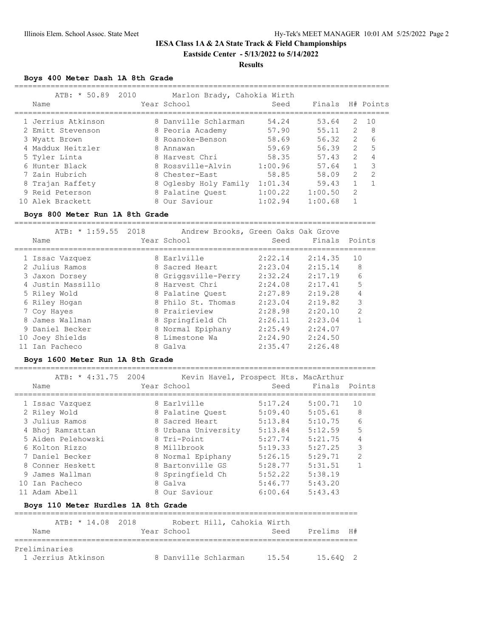## **IESA Class 1A & 2A State Track & Field Championships Eastside Center - 5/13/2022 to 5/14/2022**

## **Results**

**Boys 400 Meter Dash 1A 8th Grade**

| $ATB: * 50.89$     | 2010 | Marlon Brady, Cahokia Wirth |         |         |                |               |
|--------------------|------|-----------------------------|---------|---------|----------------|---------------|
| Name               |      | Year School                 | Seed    | Finals  |                | H# Points     |
| 1 Jerrius Atkinson |      | 8 Danville Schlarman        | 54.24   | 53.64   | $\mathcal{P}$  | 1 O           |
| 2 Emitt Stevenson  |      | 8 Peoria Academy            | 57.90   | 55.11   | $\mathcal{L}$  | 8             |
| 3 Wyatt Brown      |      | 8 Roanoke-Benson            | 58.69   | 56.32   | $\mathcal{L}$  | 6             |
| 4 Maddux Heitzler  |      | 8 Annawan                   | 59.69   | 56.39   | 2              | 5             |
| 5 Tyler Linta      |      | 8 Harvest Chri              | 58.35   | 57.43   | $\mathcal{L}$  |               |
| 6 Hunter Black     |      | 8 Rossville-Alvin           | 1:00.96 | 57.64   |                | 3             |
| 7 Zain Hubrich     |      | 8 Chester-East              | 58.85   | 58.09   | $\mathcal{L}$  | $\mathcal{D}$ |
| 8 Trajan Raffety   |      | 8 Oglesby Holy Family       | 1:01.34 | 59.43   |                |               |
| 9 Reid Peterson    |      | 8 Palatine Ouest            | 1:00.22 | 1:00.50 | $\overline{2}$ |               |
| 10 Alek Brackett   |      | 8 Our Saviour               | 1:02.94 | 1:00.68 |                |               |

#### **Boys 800 Meter Run 1A 8th Grade**

================================================================================

|    | ATB: $\star$ 1:59.55 2018<br>Name | Andrew Brooks, Green Oaks Oak Grove<br>Year School | Seed    | Finals  | Points         |
|----|-----------------------------------|----------------------------------------------------|---------|---------|----------------|
|    | 1 Issac Vazquez                   | 8 Earlville                                        | 2:22.14 | 2:14.35 | 10             |
|    | 2 Julius Ramos                    | 8 Sacred Heart                                     | 2:23.04 | 2:15.14 | 8              |
|    | 3 Jaxon Dorsey                    | 8 Griggsville-Perry                                | 2:32.24 | 2:17.19 | 6              |
|    | 4 Justin Massillo                 | 8 Harvest Chri                                     | 2:24.08 | 2:17.41 | 5              |
|    | 5 Riley Wold                      | 8 Palatine Quest                                   | 2:27.89 | 2:19.28 | 4              |
|    | 6 Riley Hogan                     | 8 Philo St. Thomas                                 | 2:23.04 | 2:19.82 | 3              |
|    | 7 Coy Hayes                       | 8 Prairieview                                      | 2:28.98 | 2:20.10 | $\mathfrak{D}$ |
|    | 8 James Wallman                   | 8 Springfield Ch                                   | 2:26.11 | 2:23.04 |                |
|    | 9 Daniel Becker                   | 8 Normal Epiphany                                  | 2:25.49 | 2:24.07 |                |
| 10 | Joey Shields                      | 8 Limestone Wa                                     | 2:24.90 | 2:24.50 |                |
|    | Ian Pacheco                       | 8 Galva                                            | 2:35.47 | 2:26.48 |                |

## **Boys 1600 Meter Run 1A 8th Grade**

================================================================================

|  | ATB: * 4:31.75 2004 |                     | Kevin Havel, Prospect Hts. MacArthur |               |                |
|--|---------------------|---------------------|--------------------------------------|---------------|----------------|
|  | Name                | Year School         | Seed                                 | Finals Points |                |
|  |                     |                     |                                      |               |                |
|  | 1 Issac Vazquez     | 8 Earlyille         | 5:17.24                              | 5:00.71       | 10             |
|  | 2 Riley Wold        | 8 Palatine Ouest    | 5:09.40                              | 5:05.61       | 8              |
|  | 3 Julius Ramos      | 8 Sacred Heart      | 5:13.84                              | 5:10.75       | 6              |
|  | 4 Bhoi Ramrattan    | 8 Urbana University | 5:13.84                              | 5:12.59       | 5              |
|  | 5 Aiden Pelehowski  | 8 Tri-Point         | 5:27.74                              | 5:21.75       | 4              |
|  | 6 Kolton Rizzo      | 8 Millbrook         | 5:19.33                              | 5:27.25       | 3              |
|  | 7 Daniel Becker     | 8 Normal Epiphany   | 5:26.15                              | 5:29.71       | $\overline{2}$ |
|  | 8 Conner Heskett    | 8 Bartonville GS    | 5:28.77                              | 5:31.51       |                |
|  | 9 James Wallman     | 8 Springfield Ch    | 5:52.22                              | 5:38.19       |                |
|  | 10 Ian Pacheco      | 8 Galva             | 5:46.77                              | 5:43.20       |                |
|  | Adam Abell          | 8 Our Saviour       | 6:00.64                              | 5:43.43       |                |
|  |                     |                     |                                      |               |                |

## **Boys 110 Meter Hurdles 1A 8th Grade**

|                    |  |  | ATB: * 14.08 2018 |                      | Robert Hill, Cahokia Wirth |       |            |  |
|--------------------|--|--|-------------------|----------------------|----------------------------|-------|------------|--|
| Name               |  |  |                   | Year School          |                            | Seed  | Prelims H# |  |
|                    |  |  |                   |                      |                            |       |            |  |
| Preliminaries      |  |  |                   |                      |                            |       |            |  |
| 1 Jerrius Atkinson |  |  |                   | 8 Danville Schlarman |                            | 15.54 | 15.640 2   |  |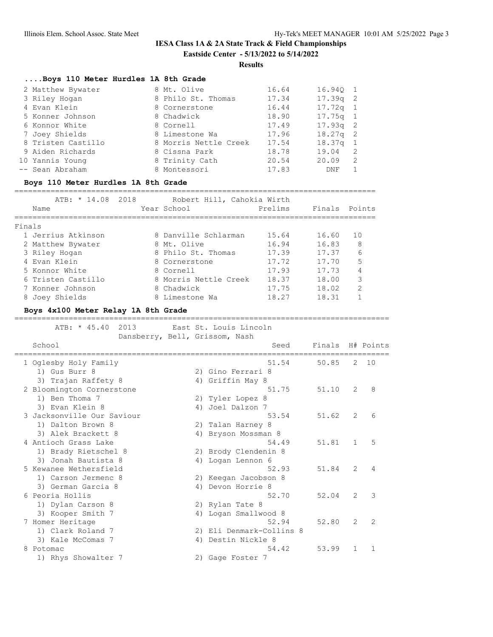# **IESA Class 1A & 2A State Track & Field Championships Eastside Center - 5/13/2022 to 5/14/2022**

**Results**

## **....Boys 110 Meter Hurdles 1A 8th Grade**

| 2 Matthew Bywater  | 8 Mt. Olive           | 16.64 | 16.940 1           |                |
|--------------------|-----------------------|-------|--------------------|----------------|
| 3 Riley Hogan      | 8 Philo St. Thomas    | 17.34 | $17.39q$ 2         |                |
| 4 Evan Klein       | 8 Cornerstone         | 16.44 | $17.72q$ 1         |                |
| 5 Konner Johnson   | 8 Chadwick            | 18.90 | $17.75q$ 1         |                |
| 6 Konnor White     | 8 Cornell             | 17.49 | $17.93q$ 2         |                |
| 7 Joey Shields     | 8 Limestone Wa        | 17.96 | $18.27q$ 2         |                |
| 8 Tristen Castillo | 8 Morris Nettle Creek | 17.54 | 18.37 <sub>q</sub> | $\overline{1}$ |
| 9 Aiden Richards   | 8 Cissna Park         | 18.78 | 19.04              | -2             |
| 10 Yannis Young    | 8 Trinity Cath        | 20.54 | 20.09              | 2              |
| -- Sean Abraham    | 8 Montessori          | 17.83 | DNF                |                |

#### **Boys 110 Meter Hurdles 1A 8th Grade**

================================================================================

|        | ATB: * 14.08 2018  | Robert Hill, Cahokia Wirth |         |               |               |
|--------|--------------------|----------------------------|---------|---------------|---------------|
|        | Name               | Year School                | Prelims | Finals Points |               |
|        |                    |                            |         |               |               |
| Finals |                    |                            |         |               |               |
|        | 1 Jerrius Atkinson | 8 Danville Schlarman       | 15.64   | 16.60         | 10            |
|        | 2 Matthew Bywater  | 8 Mt. Olive                | 16.94   | 16.83         | 8             |
|        | 3 Riley Hogan      | 8 Philo St. Thomas         | 17.39   | 17.37         | 6             |
|        | 4 Evan Klein       | 8 Cornerstone              | 17.72   | 17.70         | 5             |
|        | 5 Konnor White     | 8 Cornell                  | 17.93   | 17.73         | 4             |
|        | 6 Tristen Castillo | 8 Morris Nettle Creek      | 18.37   | 18.00         | 3             |
|        | 7 Konner Johnson   | 8 Chadwick                 | 17.75   | 18.02         | $\mathcal{D}$ |
|        | 8 Joey Shields     | 8 Limestone Wa             | 18.27   | 18.31         |               |

## **Boys 4x100 Meter Relay 1A 8th Grade**

=================================================================================== ATB: \* 45.40 2013 East St. Louis Lincoln

| Dansberry, Bell, Grissom, Nash         |    |                                   |                  |                |                |
|----------------------------------------|----|-----------------------------------|------------------|----------------|----------------|
| School                                 |    | Seed                              | Finals H# Points |                |                |
| 1 Oglesby Holy Family                  |    | 51.54                             | 50.85            | 2              | 10             |
| 1) Gus Burr 8                          |    | 2) Gino Ferrari 8                 |                  |                |                |
| 3) Trajan Raffety 8                    |    | 4) Griffin May 8                  |                  |                |                |
| 2 Bloomington Cornerstone              |    | 51.75                             | 51.10            | $\overline{2}$ | 8              |
| 1) Ben Thoma 7                         |    | 2) Tyler Lopez 8                  |                  |                |                |
| 3) Evan Klein 8                        | 4) | Joel Dalzon 7                     |                  |                |                |
| 3 Jacksonville Our Saviour             |    | 53.54                             | 51.62            | $\overline{2}$ | 6              |
| 1) Dalton Brown 8                      |    | 2) Talan Harney 8                 |                  |                |                |
| 3) Alek Brackett 8                     | 4) | Bryson Mossman 8                  |                  |                |                |
| 4 Antioch Grass Lake                   |    | 54.49                             | 51.81            | $\mathbf{1}$   | 5              |
| 1) Brady Rietschel 8                   |    | 2) Brody Clendenin 8              |                  |                |                |
| 3) Jonah Bautista 8                    |    | 4) Logan Lennon 6                 |                  |                |                |
| 5 Kewanee Wethersfield                 |    | 52.93                             | 51.84            | $\overline{2}$ | 4              |
| 1) Carson Jermenc 8                    |    | 2) Keegan Jacobson 8              |                  |                |                |
| 3) German Garcia 8                     | 4) | Devon Horrie 8                    |                  |                |                |
| 6 Peoria Hollis                        |    | 52.70                             | 52.04            | 2              | 3              |
| 1) Dylan Carson 8                      |    | 2) Rylan Tate 8                   |                  |                |                |
| 3) Kooper Smith 7                      | 4) | Logan Smallwood 8                 |                  |                |                |
| 7 Homer Heritage                       |    | 52.94<br>2) Eli Denmark-Collins 8 | 52.80            | $\overline{2}$ | $\mathfrak{D}$ |
| 1) Clark Roland 7<br>3) Kale McComas 7 | 4) | Destin Nickle 8                   |                  |                |                |
| 8 Potomac                              |    | 54.42                             | 53.99            | $\mathbf{1}$   | $\mathbf{1}$   |
| 1) Rhys Showalter 7                    |    | 2) Gage Foster 7                  |                  |                |                |
|                                        |    |                                   |                  |                |                |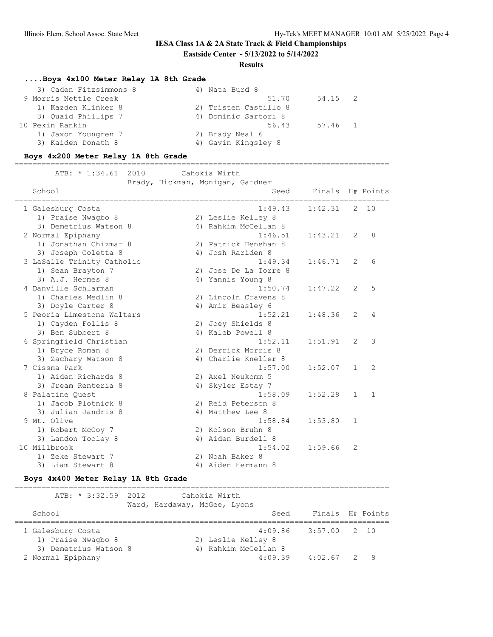# **IESA Class 1A & 2A State Track & Field Championships**

# **Eastside Center - 5/13/2022 to 5/14/2022**

## **Results**

## **....Boys 4x100 Meter Relay 1A 8th Grade**

| 3) Caden Fitzsimmons 8 | 4) Nate Burd 8             |
|------------------------|----------------------------|
| 9 Morris Nettle Creek  | 51.70<br>54.15 2           |
| 1) Kazden Klinker 8    | 2) Tristen Castillo 8      |
| 3) Ouaid Phillips 7    | 4) Dominic Sartori 8       |
| 10 Pekin Rankin        | 56.43<br>57.46<br>$\sim$ 1 |
| 1) Jaxon Youngren 7    | 2) Brady Neal 6            |
| 3) Kaiden Donath 8     | 4) Gavin Kingsley 8        |

#### **Boys 4x200 Meter Relay 1A 8th Grade**

===================================================================================

| 2010<br>ATB: $* 1:34.61$           | Cahokia Wirth                            |                  |                |              |
|------------------------------------|------------------------------------------|------------------|----------------|--------------|
| School                             | Brady, Hickman, Monigan, Gardner<br>Seed | Finals H# Points |                |              |
| 1 Galesburg Costa                  | 1:49.43                                  | 1:42.31          | $\mathbf{2}$   | 10           |
| 1) Praise Nwaqbo 8                 | 2) Leslie Kelley 8                       |                  |                |              |
| 3) Demetrius Watson 8              | 4) Rahkim McCellan 8                     |                  |                |              |
| 2 Normal Epiphany                  | 1:46.51                                  | 1:43.21          | $\overline{2}$ | 8            |
| 1) Jonathan Chizmar 8              | 2) Patrick Henehan 8                     |                  |                |              |
| 3) Joseph Coletta 8                | 4) Josh Rariden 8                        |                  |                |              |
| 3 LaSalle Trinity Catholic         | 1:49.34                                  | 1:46.71          | $\overline{2}$ | 6            |
| 1) Sean Brayton 7                  | 2) Jose De La Torre 8                    |                  |                |              |
| 3) A.J. Hermes 8                   | 4) Yannis Young 8                        |                  |                |              |
| 4 Danville Schlarman               | 1:50.74                                  | 1:47.22          | 2              | 5            |
| 1) Charles Medlin 8                | 2) Lincoln Cravens 8                     |                  |                |              |
| 3) Doyle Carter 8                  | 4) Amir Beasley 6                        |                  |                |              |
| 5 Peoria Limestone Walters         | 1:52.21                                  | 1:48.36          | 2              | 4            |
| 1) Cayden Follis 8                 | 2) Joey Shields 8                        |                  |                |              |
| 3) Ben Subbert 8                   | 4) Kaleb Powell 8                        |                  |                |              |
| 6 Springfield Christian            | 1:52.11                                  | 1:51.91          | $\overline{2}$ | 3            |
| 1) Bryce Roman 8                   | 2) Derrick Morris 8                      |                  |                |              |
| 3) Zachary Watson 8                | 4) Charlie Kneller 8                     |                  |                |              |
| 7 Cissna Park                      | 1:57.00                                  | 1:52.07          | $\mathbf{1}$   | 2            |
| 1) Aiden Richards 8                | 2) Axel Neukomm 5                        |                  |                |              |
| 3) Jream Renteria 8                | 4) Skyler Estay 7                        |                  |                |              |
| 8 Palatine Quest                   | 1:58.09                                  | 1:52.28          | $\mathbf{1}$   | $\mathbf{1}$ |
| 1) Jacob Plotnick 8                | 2) Reid Peterson 8                       |                  |                |              |
| 3) Julian Jandris 8<br>9 Mt. Olive | 4) Matthew Lee 8<br>1:58.84              |                  |                |              |
|                                    |                                          | 1:53.80          | 1              |              |
| 1) Robert McCoy 7                  | 2) Kolson Bruhn 8                        |                  |                |              |
| 3) Landon Tooley 8<br>10 Millbrook | 4) Aiden Burdell 8<br>1:54.02            |                  | 2              |              |
|                                    |                                          | 1:59.66          |                |              |
| 1) Zeke Stewart 7                  | 2) Noah Baker 8<br>4) Aiden Hermann 8    |                  |                |              |
| 3) Liam Stewart 8                  |                                          |                  |                |              |

#### **Boys 4x400 Meter Relay 1A 8th Grade**

## =================================================================================== ATB: \* 3:32.59 2012 Cahokia Wirth Ward, Hardaway, McGee, Lyons School School School Seed Finals H# Points =================================================================================== 1 Galesburg Costa 4:09.86 3:57.00 2 10 1) Praise Nwagbo 8 2) Leslie Kelley 8 3) Demetrius Watson 8 (4) Rahkim McCellan 8 2 Normal Epiphany 4:09.39 4:02.67 2 8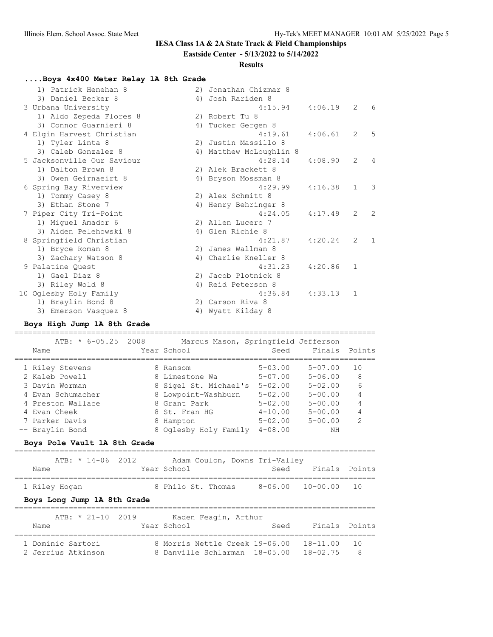## **IESA Class 1A & 2A State Track & Field Championships**

## **Eastside Center - 5/13/2022 to 5/14/2022**

## **Results**

## **....Boys 4x400 Meter Relay 1A 8th Grade**

| 1) Patrick Henehan 8       | 2) | Jonathan Chizmar 8      |         |                |                |
|----------------------------|----|-------------------------|---------|----------------|----------------|
| 3) Daniel Becker 8         |    | 4) Josh Rariden 8       |         |                |                |
| 3 Urbana University        |    | 4:15.94                 | 4:06.19 | 2              | 6              |
| 1) Aldo Zepeda Flores 8    |    | 2) Robert Tu 8          |         |                |                |
| 3) Connor Guarnieri 8      |    | 4) Tucker Gergen 8      |         |                |                |
| 4 Elgin Harvest Christian  |    | 4:19.61                 | 4:06.61 | 2              | 5              |
| 1) Tyler Linta 8           |    | 2) Justin Massillo 8    |         |                |                |
| 3) Caleb Gonzalez 8        |    | 4) Matthew McLoughlin 8 |         |                |                |
| 5 Jacksonville Our Saviour |    | 4:28.14                 | 4:08.90 | 2              | $\overline{4}$ |
| 1) Dalton Brown 8          |    | 2) Alek Brackett 8      |         |                |                |
| 3) Owen Geirnaeirt 8       |    | 4) Bryson Mossman 8     |         |                |                |
| 6 Spring Bay Riverview     |    | 4:29.99                 | 4:16.38 | $\mathbf{1}$   | 3              |
| 1) Tommy Casey 8           |    | 2) Alex Schmitt 8       |         |                |                |
| 3) Ethan Stone 7           |    | 4) Henry Behringer 8    |         |                |                |
| 7 Piper City Tri-Point     |    | 4:24.05                 | 4:17.49 | $\overline{2}$ | 2              |
| 1) Miguel Amador 6         |    | 2) Allen Lucero 7       |         |                |                |
| 3) Aiden Pelehowski 8      |    | 4) Glen Richie 8        |         |                |                |
| 8 Springfield Christian    |    | 4:21.87                 | 4:20.24 | $\overline{2}$ | $\mathbf{1}$   |
| 1) Bryce Roman 8           |    | 2) James Wallman 8      |         |                |                |
| 3) Zachary Watson 8        |    | 4) Charlie Kneller 8    |         |                |                |
| 9 Palatine Quest           |    | 4:31.23                 | 4:20.86 | $\mathbf{1}$   |                |
| 1) Gael Diaz 8             |    | 2) Jacob Plotnick 8     |         |                |                |
| 3) Riley Wold 8            |    | 4) Reid Peterson 8      |         |                |                |
| 10 Oglesby Holy Family     |    | 4:36.84                 | 4:33.13 | 1              |                |
| 1) Braylin Bond 8          |    | 2) Carson Riva 8        |         |                |                |
| 3) Emerson Vasquez 8       |    | 4) Wyatt Kilday 8       |         |                |                |

## **Boys High Jump 1A 8th Grade**

#### ================================================================================ Marcus Mason, Springfield Jeffer

| ATB: ^ 0-UD.ZD ZUU8 | Marcus Mason, springfield Jefferson |             |               |               |
|---------------------|-------------------------------------|-------------|---------------|---------------|
| Name                | Year School                         | Seed        | Finals Points |               |
|                     |                                     |             |               |               |
| 1 Riley Stevens     | 8 Ransom                            | $5 - 03.00$ | $5 - 07.00$   | 10            |
| 2 Kaleb Powell      | 8 Limestone Wa                      | $5 - 07.00$ | $5 - 06.00$   | 8             |
| 3 Davin Worman      | 8 Sigel St. Michael's               | $5 - 02.00$ | $5 - 02.00$   | 6             |
| 4 Evan Schumacher   | 8 Lowpoint-Washburn                 | $5 - 02.00$ | $5 - 00.00$   | 4             |
| 4 Preston Wallace   | 8 Grant Park                        | $5 - 02.00$ | $5 - 00.00$   | 4             |
| 4 Evan Cheek        | 8 St. Fran HG                       | $4 - 10.00$ | $5 - 00.00$   | 4             |
| 7 Parker Davis      | 8 Hampton                           | $5 - 02.00$ | $5 - 00.00$   | $\mathcal{P}$ |
| -- Braylin Bond     | 8 Oglesby Holy Family               | $4 - 08.00$ | NΗ            |               |
|                     |                                     |             |               |               |

#### **Boys Pole Vault 1A 8th Grade**

|               |  | ATB: * 14-06 2012 |  |                    |  | Adam Coulon, Downs Tri-Valley |               |  |
|---------------|--|-------------------|--|--------------------|--|-------------------------------|---------------|--|
| Name          |  |                   |  | Year School        |  | Seed                          | Finals Points |  |
| 1 Riley Hoqan |  |                   |  | 8 Philo St. Thomas |  | 8-06.00 10-00.00 10           |               |  |

## **Boys Long Jump 1A 8th Grade**

#### ================================================================================ ATB: \* 21-10 2019 Kaden Feagin, Arthur

| ATB: * 21-10 2019<br>Name | Kaden Feagin, Arthur<br>Year School | Seed | Finals Points |    |
|---------------------------|-------------------------------------|------|---------------|----|
| 1 Dominic Sartori         | 8 Morris Nettle Creek 19-06.00      |      | 18-11.00      | 10 |
| 2 Jerrius Atkinson        | 8 Danville Schlarman 18-05.00       |      | $18 - 02.75$  | -8 |